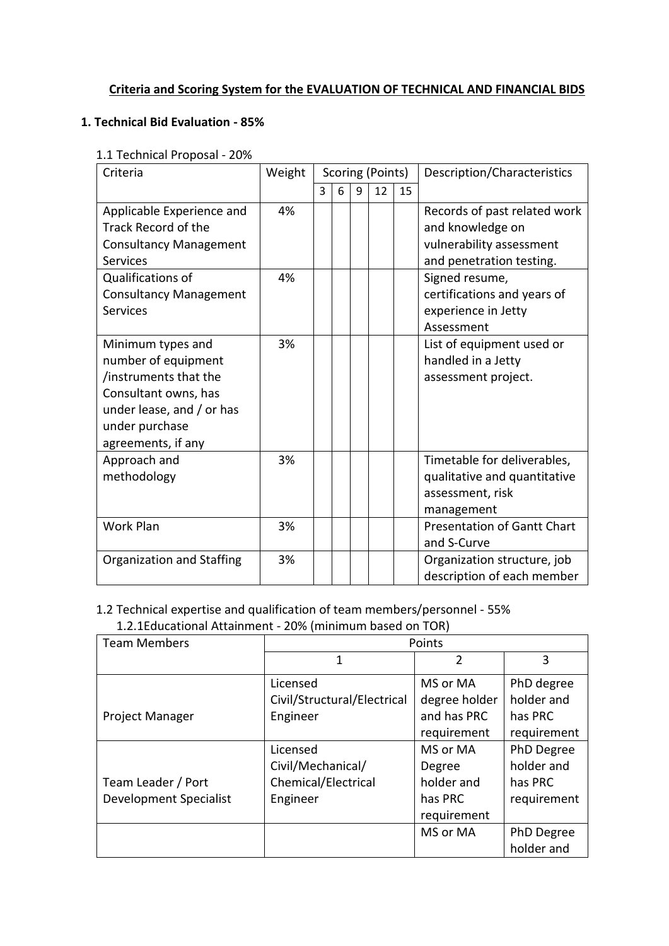## **Criteria and Scoring System for the EVALUATION OF TECHNICAL AND FINANCIAL BIDS**

## **1. Technical Bid Evaluation - 85%**

#### 1.1 Technical Proposal - 20%

| Criteria                                                                                                                                                       | Weight   | Scoring (Points) |   |   |    |    | Description/Characteristics                                                                                                |  |
|----------------------------------------------------------------------------------------------------------------------------------------------------------------|----------|------------------|---|---|----|----|----------------------------------------------------------------------------------------------------------------------------|--|
|                                                                                                                                                                |          | 3                | 6 | 9 | 12 | 15 |                                                                                                                            |  |
| Applicable Experience and<br>Track Record of the<br><b>Consultancy Management</b><br><b>Services</b><br>Qualifications of                                      | 4%<br>4% |                  |   |   |    |    | Records of past related work<br>and knowledge on<br>vulnerability assessment<br>and penetration testing.<br>Signed resume, |  |
| <b>Consultancy Management</b><br><b>Services</b>                                                                                                               |          |                  |   |   |    |    | certifications and years of<br>experience in Jetty<br>Assessment                                                           |  |
| Minimum types and<br>number of equipment<br>/instruments that the<br>Consultant owns, has<br>under lease, and / or has<br>under purchase<br>agreements, if any | 3%       |                  |   |   |    |    | List of equipment used or<br>handled in a Jetty<br>assessment project.                                                     |  |
| Approach and<br>methodology                                                                                                                                    | 3%       |                  |   |   |    |    | Timetable for deliverables,<br>qualitative and quantitative<br>assessment, risk<br>management                              |  |
| <b>Work Plan</b>                                                                                                                                               | 3%       |                  |   |   |    |    | <b>Presentation of Gantt Chart</b><br>and S-Curve                                                                          |  |
| Organization and Staffing                                                                                                                                      | 3%       |                  |   |   |    |    | Organization structure, job<br>description of each member                                                                  |  |

# 1.2 Technical expertise and qualification of team members/personnel - 55%

1.2.1Educational Attainment - 20% (minimum based on TOR)

| <b>Team Members</b>    | Points                      |               |             |  |  |  |  |
|------------------------|-----------------------------|---------------|-------------|--|--|--|--|
|                        | 1                           | $\mathcal{P}$ | 3           |  |  |  |  |
|                        | Licensed                    | MS or MA      | PhD degree  |  |  |  |  |
|                        | Civil/Structural/Electrical | degree holder | holder and  |  |  |  |  |
| <b>Project Manager</b> | Engineer                    | and has PRC   | has PRC     |  |  |  |  |
|                        |                             | requirement   | requirement |  |  |  |  |
|                        | Licensed                    | MS or MA      | PhD Degree  |  |  |  |  |
|                        | Civil/Mechanical/           | Degree        | holder and  |  |  |  |  |
| Team Leader / Port     | Chemical/Electrical         | holder and    | has PRC     |  |  |  |  |
| Development Specialist | Engineer                    | has PRC       | requirement |  |  |  |  |
|                        |                             | requirement   |             |  |  |  |  |
|                        |                             | MS or MA      | PhD Degree  |  |  |  |  |
|                        |                             |               | holder and  |  |  |  |  |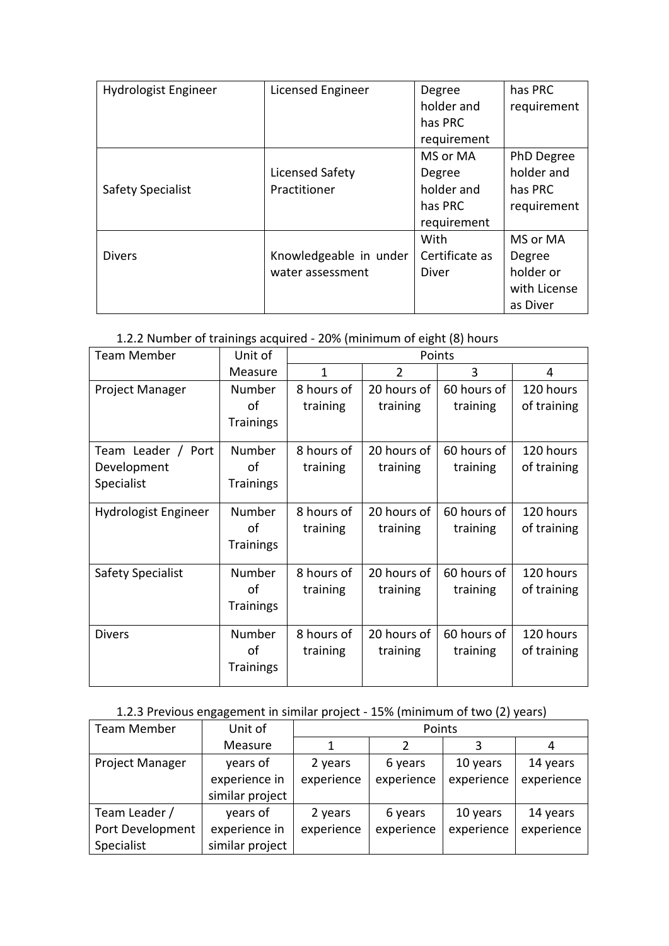| Hydrologist Engineer     | Licensed Engineer      | Degree         | has PRC      |
|--------------------------|------------------------|----------------|--------------|
|                          |                        | holder and     | requirement  |
|                          |                        | has PRC        |              |
|                          |                        | requirement    |              |
|                          |                        | MS or MA       | PhD Degree   |
|                          | Licensed Safety        | Degree         | holder and   |
| <b>Safety Specialist</b> | Practitioner           | holder and     | has PRC      |
|                          |                        | has PRC        | requirement  |
|                          |                        | requirement    |              |
|                          |                        | With           | MS or MA     |
| <b>Divers</b>            | Knowledgeable in under | Certificate as | Degree       |
|                          | water assessment       | Diver          | holder or    |
|                          |                        |                | with License |
|                          |                        |                | as Diver     |

## 1.2.2 Number of trainings acquired - 20% (minimum of eight (8) hours

| <b>Team Member</b>       | Unit of          | Points     |                |             |             |  |  |
|--------------------------|------------------|------------|----------------|-------------|-------------|--|--|
|                          | Measure          | 1          | $\overline{2}$ | 3           | 4           |  |  |
| Project Manager          | Number           | 8 hours of | 20 hours of    | 60 hours of | 120 hours   |  |  |
|                          | οf               | training   | training       | training    | of training |  |  |
|                          | <b>Trainings</b> |            |                |             |             |  |  |
| Team Leader /<br>Port    | Number           | 8 hours of | 20 hours of    | 60 hours of | 120 hours   |  |  |
| Development              | οf               | training   | training       | training    | of training |  |  |
| Specialist               | <b>Trainings</b> |            |                |             |             |  |  |
| Hydrologist Engineer     | Number           | 8 hours of | 20 hours of    | 60 hours of | 120 hours   |  |  |
|                          | of               | training   | training       | training    | of training |  |  |
|                          | <b>Trainings</b> |            |                |             |             |  |  |
| <b>Safety Specialist</b> | Number           | 8 hours of | 20 hours of    | 60 hours of | 120 hours   |  |  |
|                          | οf               | training   | training       | training    | of training |  |  |
|                          | <b>Trainings</b> |            |                |             |             |  |  |
| <b>Divers</b>            | Number           | 8 hours of | 20 hours of    | 60 hours of | 120 hours   |  |  |
|                          | οf               | training   | training       | training    | of training |  |  |
|                          | <b>Trainings</b> |            |                |             |             |  |  |

# 1.2.3 Previous engagement in similar project - 15% (minimum of two (2) years)

| <b>Team Member</b>     | Unit of         | Points     |            |            |            |  |  |
|------------------------|-----------------|------------|------------|------------|------------|--|--|
|                        | Measure         |            |            |            |            |  |  |
| <b>Project Manager</b> | years of        | 2 years    | 6 years    | 10 years   | 14 years   |  |  |
|                        | experience in   | experience | experience | experience | experience |  |  |
|                        | similar project |            |            |            |            |  |  |
| Team Leader /          | years of        | 2 years    | 6 years    | 10 years   | 14 years   |  |  |
| Port Development       | experience in   | experience | experience | experience | experience |  |  |
| Specialist             | similar project |            |            |            |            |  |  |